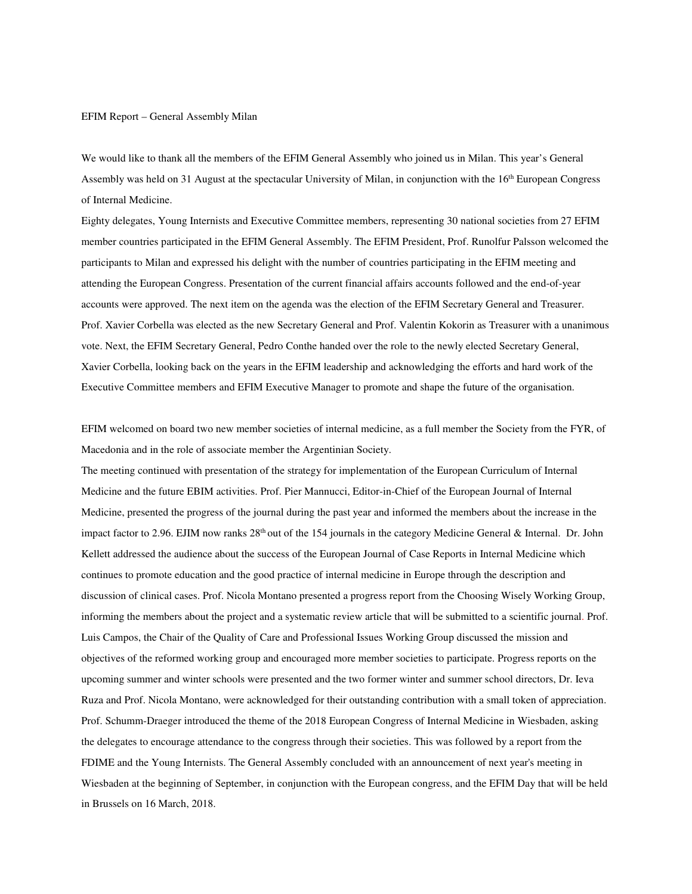EFIM Report – General Assembly Milan

We would like to thank all the members of the EFIM General Assembly who joined us in Milan. This year's General Assembly was held on 31 August at the spectacular University of Milan, in conjunction with the 16<sup>th</sup> European Congress of Internal Medicine.

Eighty delegates, Young Internists and Executive Committee members, representing 30 national societies from 27 EFIM member countries participated in the EFIM General Assembly. The EFIM President, Prof. Runolfur Palsson welcomed the participants to Milan and expressed his delight with the number of countries participating in the EFIM meeting and attending the European Congress. Presentation of the current financial affairs accounts followed and the end-of-year accounts were approved. The next item on the agenda was the election of the EFIM Secretary General and Treasurer. Prof. Xavier Corbella was elected as the new Secretary General and Prof. Valentin Kokorin as Treasurer with a unanimous vote. Next, the EFIM Secretary General, Pedro Conthe handed over the role to the newly elected Secretary General, Xavier Corbella, looking back on the years in the EFIM leadership and acknowledging the efforts and hard work of the Executive Committee members and EFIM Executive Manager to promote and shape the future of the organisation.

EFIM welcomed on board two new member societies of internal medicine, as a full member the Society from the FYR, of Macedonia and in the role of associate member the Argentinian Society.

The meeting continued with presentation of the strategy for implementation of the European Curriculum of Internal Medicine and the future EBIM activities. Prof. Pier Mannucci, Editor-in-Chief of the European Journal of Internal Medicine, presented the progress of the journal during the past year and informed the members about the increase in the impact factor to 2.96. EJIM now ranks 28<sup>th</sup> out of the 154 journals in the category Medicine General & Internal. Dr. John Kellett addressed the audience about the success of the European Journal of Case Reports in Internal Medicine which continues to promote education and the good practice of internal medicine in Europe through the description and discussion of clinical cases. Prof. Nicola Montano presented a progress report from the Choosing Wisely Working Group, informing the members about the project and a systematic review article that will be submitted to a scientific journal. Prof. Luis Campos, the Chair of the Quality of Care and Professional Issues Working Group discussed the mission and objectives of the reformed working group and encouraged more member societies to participate. Progress reports on the upcoming summer and winter schools were presented and the two former winter and summer school directors, Dr. Ieva Ruza and Prof. Nicola Montano, were acknowledged for their outstanding contribution with a small token of appreciation. Prof. Schumm-Draeger introduced the theme of the 2018 European Congress of Internal Medicine in Wiesbaden, asking the delegates to encourage attendance to the congress through their societies. This was followed by a report from the FDIME and the Young Internists. The General Assembly concluded with an announcement of next year's meeting in Wiesbaden at the beginning of September, in conjunction with the European congress, and the EFIM Day that will be held in Brussels on 16 March, 2018.